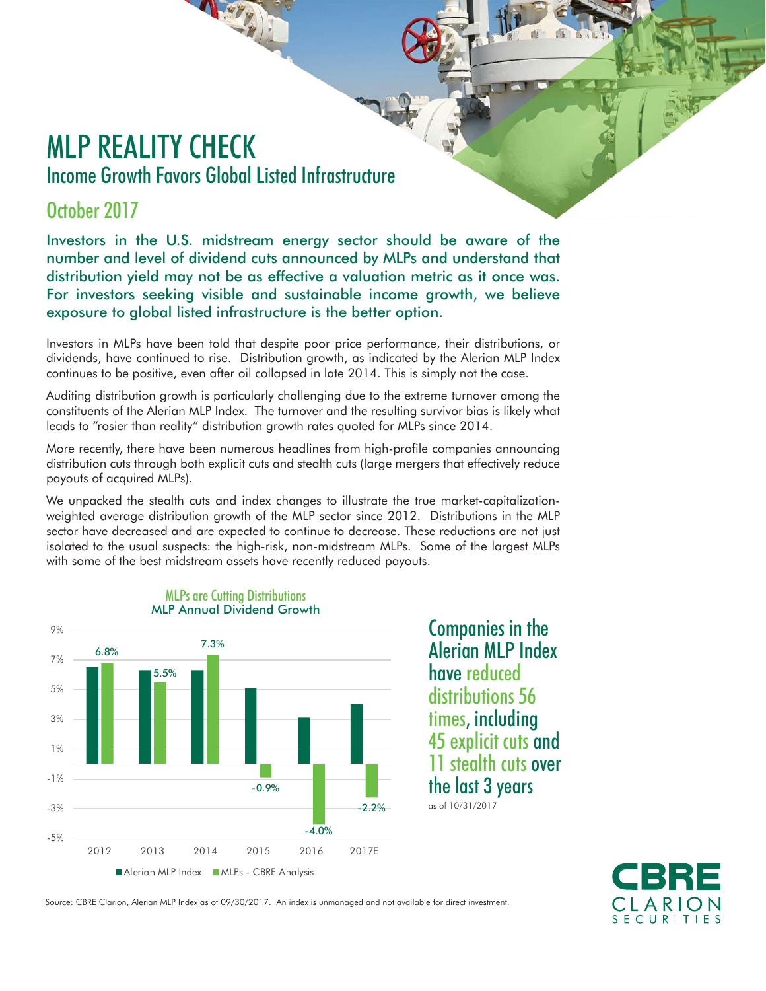# MLP REALITY CHECK Income Growth Favors Global Listed Infrastructure

## October 2017

Investors in the U.S. midstream energy sector should be aware of the number and level of dividend cuts announced by MLPs and understand that distribution yield may not be as effective a valuation metric as it once was. For investors seeking visible and sustainable income growth, we believe exposure to global listed infrastructure is the better option.

Investors in MLPs have been told that despite poor price performance, their distributions, or dividends, have continued to rise. Distribution growth, as indicated by the Alerian MLP Index continues to be positive, even after oil collapsed in late 2014. This is simply not the case.

Auditing distribution growth is particularly challenging due to the extreme turnover among the constituents of the Alerian MLP Index. The turnover and the resulting survivor bias is likely what leads to "rosier than reality" distribution growth rates quoted for MLPs since 2014.

More recently, there have been numerous headlines from high-profile companies announcing distribution cuts through both explicit cuts and stealth cuts (large mergers that effectively reduce payouts of acquired MLPs).

We unpacked the stealth cuts and index changes to illustrate the true market-capitalizationweighted average distribution growth of the MLP sector since 2012. Distributions in the MLP sector have decreased and are expected to continue to decrease. These reductions are not just isolated to the usual suspects: the high-risk, non-midstream MLPs. Some of the largest MLPs with some of the best midstream assets have recently reduced payouts.



#### MLPs are Cutting Distributions MLP Annual Dividend Growth

Companies in the Alerian MLP Index have reduced distributions 56 times, including 45 explicit cuts and 11 stealth cuts over the last 3 years

as of 10/31/2017



Source: CBRE Clarion, Alerian MLP Index as of 09/30/2017. An index is unmanaged and not available for direct investment.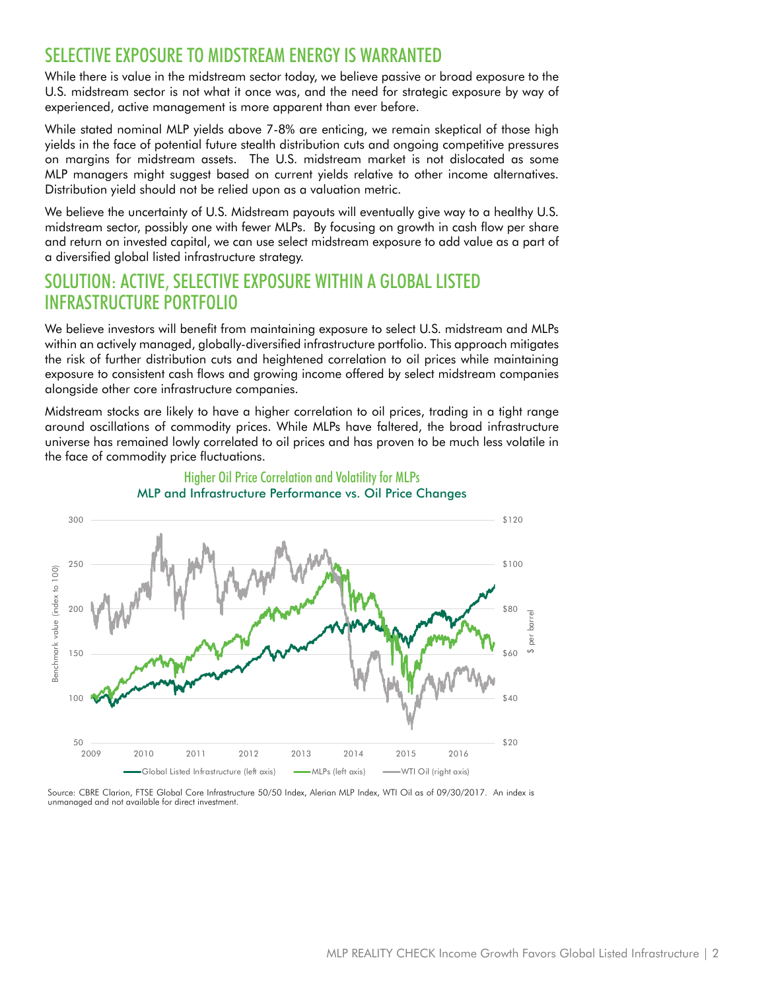### SELECTIVE EXPOSURE TO MIDSTREAM ENERGY IS WARRANTED

While there is value in the midstream sector today, we believe passive or broad exposure to the U.S. midstream sector is not what it once was, and the need for strategic exposure by way of experienced, active management is more apparent than ever before.

While stated nominal MLP yields above 7-8% are enticing, we remain skeptical of those high yields in the face of potential future stealth distribution cuts and ongoing competitive pressures on margins for midstream assets. The U.S. midstream market is not dislocated as some MLP managers might suggest based on current yields relative to other income alternatives. Distribution yield should not be relied upon as a valuation metric.

We believe the uncertainty of U.S. Midstream payouts will eventually give way to a healthy U.S. midstream sector, possibly one with fewer MLPs. By focusing on growth in cash flow per share and return on invested capital, we can use select midstream exposure to add value as a part of a diversified global listed infrastructure strategy.

#### SOLUTION: ACTIVE, SELECTIVE EXPOSURE WITHIN A GLOBAL LISTED INFRASTRUCTURE PORTFOLIO

We believe investors will benefit from maintaining exposure to select U.S. midstream and MLPs within an actively managed, globally-diversified infrastructure portfolio. This approach mitigates the risk of further distribution cuts and heightened correlation to oil prices while maintaining exposure to consistent cash flows and growing income offered by select midstream companies alongside other core infrastructure companies.

Midstream stocks are likely to have a higher correlation to oil prices, trading in a tight range around oscillations of commodity prices. While MLPs have faltered, the broad infrastructure universe has remained lowly correlated to oil prices and has proven to be much less volatile in the face of commodity price fluctuations.



#### Higher Oil Price Correlation and Volatility for MLPs MLP and Infrastructure Performance vs. Oil Price Changes

Source: CBRE Clarion, FTSE Global Core Infrastructure 50/50 Index, Alerian MLP Index, WTI Oil as of 09/30/2017. An index is unmanaged and not available for direct investment.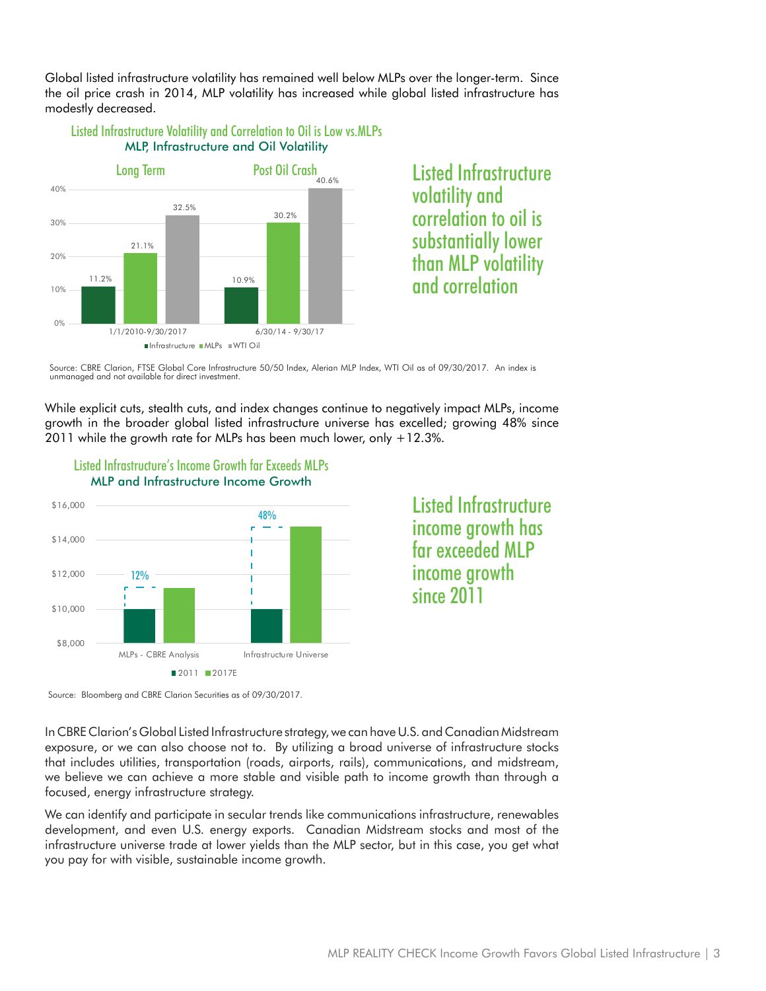Global listed infrastructure volatility has remained well below MLPs over the longer-term. Since the oil price crash in 2014, MLP volatility has increased while global listed infrastructure has modestly decreased.

#### Listed Infrastructure Volatility and Correlation to Oil is Low vs.MLPs MLP, Infrastructure and Oil Volatility



Listed Infrastructure volatility and correlation to oil is substantially lower than MLP volatility and correlation

Source: CBRE Clarion, FTSE Global Core Infrastructure 50/50 Index, Alerian MLP Index, WTI Oil as of 09/30/2017. An index is unmanaged and not available for direct investment.

While explicit cuts, stealth cuts, and index changes continue to negatively impact MLPs, income growth in the broader global listed infrastructure universe has excelled; growing 48% since 2011 while the growth rate for MLPs has been much lower, only +12.3%.



Listed Infrastructure's Income Growth far Exceeds MLPs

Listed Infrastructure income growth has far exceeded MI P income growth since 2011

Source: Bloomberg and CBRE Clarion Securities as of 09/30/2017.

In CBRE Clarion's Global Listed Infrastructure strategy, we can have U.S. and Canadian Midstream exposure, or we can also choose not to. By utilizing a broad universe of infrastructure stocks that includes utilities, transportation (roads, airports, rails), communications, and midstream, we believe we can achieve a more stable and visible path to income growth than through a focused, energy infrastructure strategy.

We can identify and participate in secular trends like communications infrastructure, renewables development, and even U.S. energy exports. Canadian Midstream stocks and most of the infrastructure universe trade at lower yields than the MLP sector, but in this case, you get what you pay for with visible, sustainable income growth.